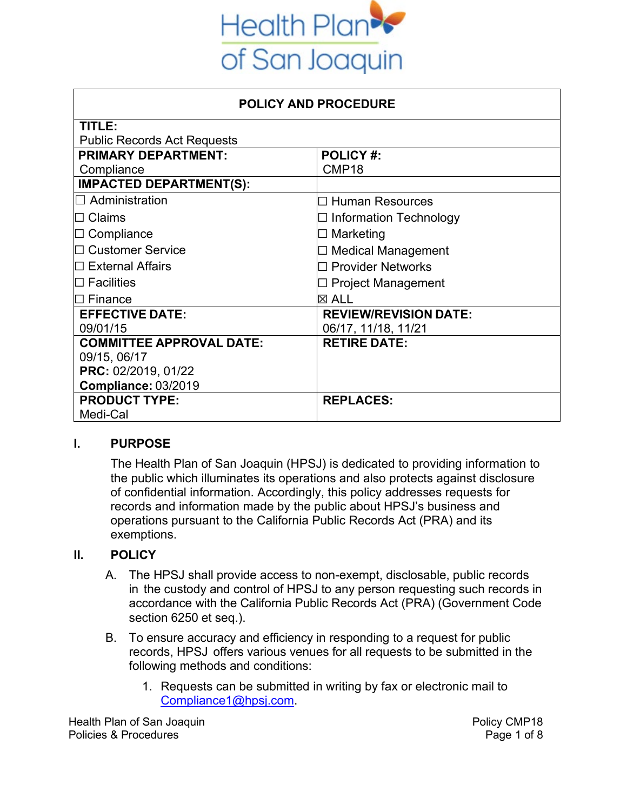

| <b>POLICY AND PROCEDURE</b>        |                              |  |
|------------------------------------|------------------------------|--|
| TITLE:                             |                              |  |
| <b>Public Records Act Requests</b> |                              |  |
| <b>PRIMARY DEPARTMENT:</b>         | <b>POLICY#:</b>              |  |
| Compliance                         | CMP <sub>18</sub>            |  |
| <b>IMPACTED DEPARTMENT(S):</b>     |                              |  |
| $\Box$ Administration              | $\Box$ Human Resources       |  |
| $\square$ Claims                   | Information Technology       |  |
| $\Box$ Compliance                  | $\Box$ Marketing             |  |
| $\Box$ Customer Service            | $\Box$ Medical Management    |  |
| $\Box$ External Affairs            | $\Box$ Provider Networks     |  |
| $\square$ Facilities               | $\Box$ Project Management    |  |
| $\Box$ Finance                     | $\boxtimes$ ALL              |  |
| <b>EFFECTIVE DATE:</b>             | <b>REVIEW/REVISION DATE:</b> |  |
| 09/01/15                           | 06/17, 11/18, 11/21          |  |
| <b>COMMITTEE APPROVAL DATE:</b>    | <b>RETIRE DATE:</b>          |  |
| 09/15, 06/17                       |                              |  |
| PRC: 02/2019, 01/22                |                              |  |
| Compliance: 03/2019                |                              |  |
| <b>PRODUCT TYPE:</b>               | <b>REPLACES:</b>             |  |
| Medi-Cal                           |                              |  |

# **I. PURPOSE**

The Health Plan of San Joaquin (HPSJ) is dedicated to providing information to the public which illuminates its operations and also protects against disclosure of confidential information. Accordingly, this policy addresses requests for records and information made by the public about HPSJ's business and operations pursuant to the California Public Records Act (PRA) and its exemptions.

#### **II. POLICY**

- A. The HPSJ shall provide access to non-exempt, disclosable, public records in the custody and control of HPSJ to any person requesting such records in accordance with the California Public Records Act (PRA) (Government Code section 6250 et seq.).
- B. To ensure accuracy and efficiency in responding to a request for public records, HPSJ offers various venues for all requests to be submitted in the following methods and conditions:
	- 1. Requests can be submitted in writing by fax or electronic mail to [Compliance1@hpsj.com.](mailto:Compliance1@hpsj.com)

Health Plan of San Joaquin **Policy CMP18** Policies & Procedures **Page 1 of 8**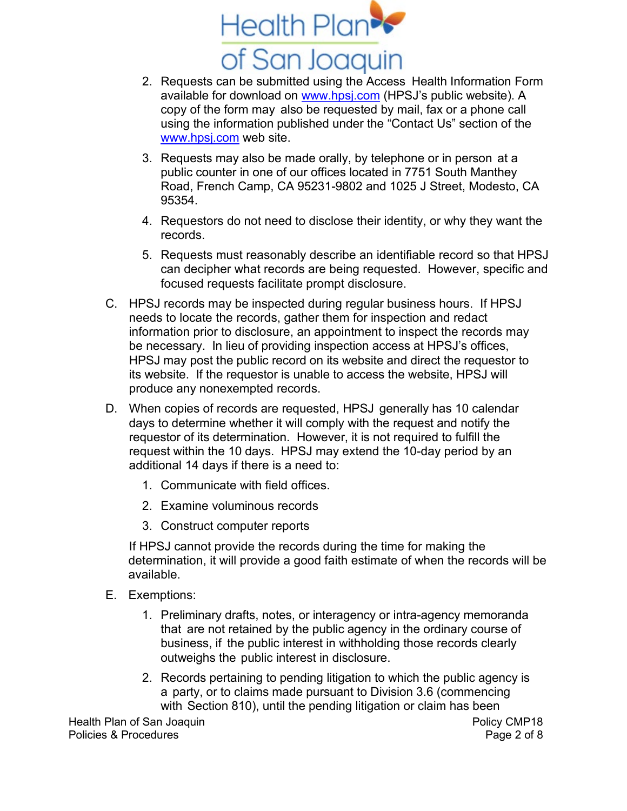

- 2. Requests can be submitted using the Access Health Information Form available for download on [www.hpsj.com](http://www.hpsj.com/) (HPSJ's public website). A copy of the form may also be requested by mail, fax or a phone call using the information published under the "Contact Us" section of the [www.hpsj.com](http://www.hpsj.com/) web site.
- 3. Requests may also be made orally, by telephone or in person at a public counter in one of our offices located in 7751 South Manthey Road, French Camp, CA 95231-9802 and 1025 J Street, Modesto, CA 95354.
- 4. Requestors do not need to disclose their identity, or why they want the records.
- 5. Requests must reasonably describe an identifiable record so that HPSJ can decipher what records are being requested. However, specific and focused requests facilitate prompt disclosure.
- C. HPSJ records may be inspected during regular business hours. If HPSJ needs to locate the records, gather them for inspection and redact information prior to disclosure, an appointment to inspect the records may be necessary. In lieu of providing inspection access at HPSJ's offices, HPSJ may post the public record on its website and direct the requestor to its website. If the requestor is unable to access the website, HPSJ will produce any nonexempted records.
- D. When copies of records are requested, HPSJ generally has 10 calendar days to determine whether it will comply with the request and notify the requestor of its determination. However, it is not required to fulfill the request within the 10 days. HPSJ may extend the 10-day period by an additional 14 days if there is a need to:
	- 1. Communicate with field offices.
	- 2. Examine voluminous records
	- 3. Construct computer reports

If HPSJ cannot provide the records during the time for making the determination, it will provide a good faith estimate of when the records will be available.

- E. Exemptions:
	- 1. Preliminary drafts, notes, or interagency or intra-agency memoranda that are not retained by the public agency in the ordinary course of business, if the public interest in withholding those records clearly outweighs the public interest in disclosure.
	- 2. Records pertaining to pending litigation to which the public agency is a party, or to claims made pursuant to Division 3.6 (commencing with Section 810), until the pending litigation or claim has been

Health Plan of San Joaquin **Policy CMP18** Policies & Procedures **Page 2 of 8**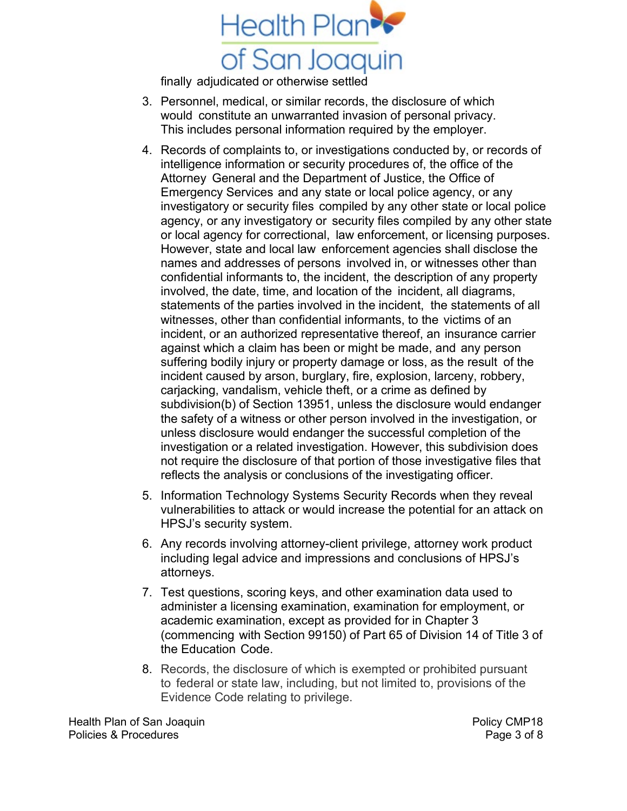

finally adjudicated or otherwise settled

- 3. Personnel, medical, or similar records, the disclosure of which would constitute an unwarranted invasion of personal privacy. This includes personal information required by the employer.
- 4. Records of complaints to, or investigations conducted by, or records of intelligence information or security procedures of, the office of the Attorney General and the Department of Justice, the Office of Emergency Services and any state or local police agency, or any investigatory or security files compiled by any other state or local police agency, or any investigatory or security files compiled by any other state or local agency for correctional, law enforcement, or licensing purposes. However, state and local law enforcement agencies shall disclose the names and addresses of persons involved in, or witnesses other than confidential informants to, the incident, the description of any property involved, the date, time, and location of the incident, all diagrams, statements of the parties involved in the incident, the statements of all witnesses, other than confidential informants, to the victims of an incident, or an authorized representative thereof, an insurance carrier against which a claim has been or might be made, and any person suffering bodily injury or property damage or loss, as the result of the incident caused by arson, burglary, fire, explosion, larceny, robbery, carjacking, vandalism, vehicle theft, or a crime as defined by subdivision(b) of Section 13951, unless the disclosure would endanger the safety of a witness or other person involved in the investigation, or unless disclosure would endanger the successful completion of the investigation or a related investigation. However, this subdivision does not require the disclosure of that portion of those investigative files that reflects the analysis or conclusions of the investigating officer.
- 5. Information Technology Systems Security Records when they reveal vulnerabilities to attack or would increase the potential for an attack on HPSJ's security system.
- 6. Any records involving attorney-client privilege, attorney work product including legal advice and impressions and conclusions of HPSJ's attorneys.
- 7. Test questions, scoring keys, and other examination data used to administer a licensing examination, examination for employment, or academic examination, except as provided for in Chapter 3 (commencing with Section 99150) of Part 65 of Division 14 of Title 3 of the Education Code.
- 8. Records, the disclosure of which is exempted or prohibited pursuant to federal or state law, including, but not limited to, provisions of the Evidence Code relating to privilege.

Health Plan of San Joaquin **Policy CMP18** Policies & Procedures **Page 3 of 8**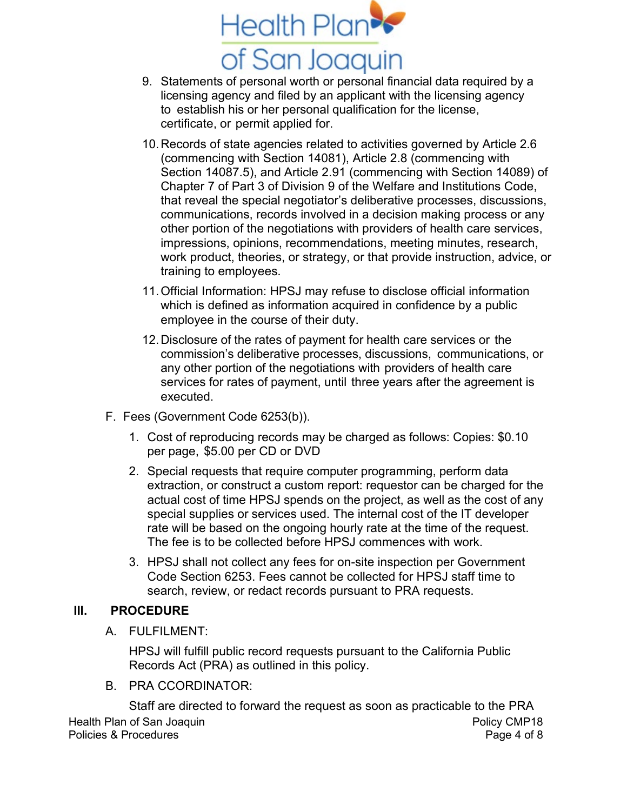

- 9. Statements of personal worth or personal financial data required by a licensing agency and filed by an applicant with the licensing agency to establish his or her personal qualification for the license, certificate, or permit applied for.
- 10.Records of state agencies related to activities governed by Article 2.6 (commencing with Section 14081), Article 2.8 (commencing with Section 14087.5), and Article 2.91 (commencing with Section 14089) of Chapter 7 of Part 3 of Division 9 of the Welfare and Institutions Code, that reveal the special negotiator's deliberative processes, discussions, communications, records involved in a decision making process or any other portion of the negotiations with providers of health care services, impressions, opinions, recommendations, meeting minutes, research, work product, theories, or strategy, or that provide instruction, advice, or training to employees.
- 11.Official Information: HPSJ may refuse to disclose official information which is defined as information acquired in confidence by a public employee in the course of their duty.
- 12.Disclosure of the rates of payment for health care services or the commission's deliberative processes, discussions, communications, or any other portion of the negotiations with providers of health care services for rates of payment, until three years after the agreement is executed.
- F. Fees (Government Code 6253(b)).
	- 1. Cost of reproducing records may be charged as follows: Copies: \$0.10 per page, \$5.00 per CD or DVD
	- 2. Special requests that require computer programming, perform data extraction, or construct a custom report: requestor can be charged for the actual cost of time HPSJ spends on the project, as well as the cost of any special supplies or services used. The internal cost of the IT developer rate will be based on the ongoing hourly rate at the time of the request. The fee is to be collected before HPSJ commences with work.
	- 3. HPSJ shall not collect any fees for on-site inspection per Government Code Section 6253. Fees cannot be collected for HPSJ staff time to search, review, or redact records pursuant to PRA requests.

# **III. PROCEDURE**

A. FULFILMENT:

HPSJ will fulfill public record requests pursuant to the California Public Records Act (PRA) as outlined in this policy.

B. PRA CCORDINATOR:

Health Plan of San Joaquin **Policy CMP18** Policies & Procedures **Page 4 of 8** Staff are directed to forward the request as soon as practicable to the PRA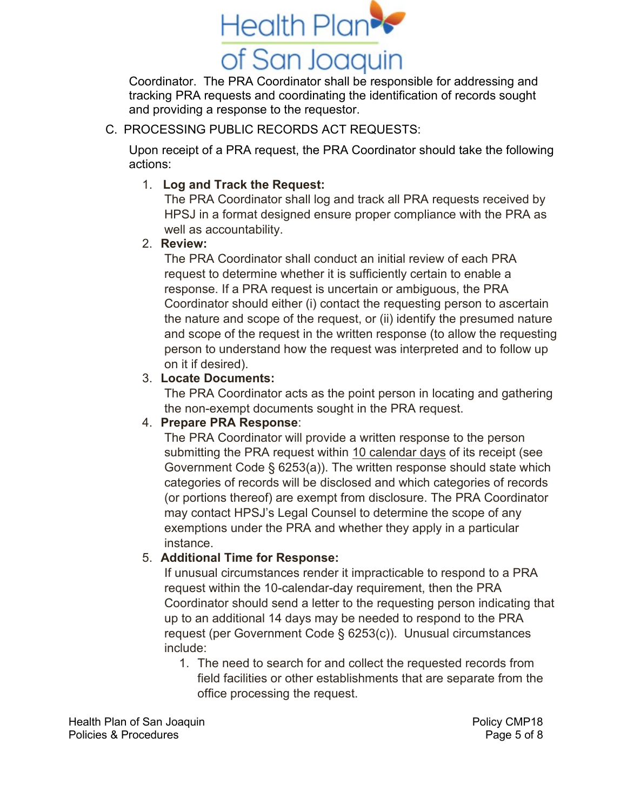

Coordinator. The PRA Coordinator shall be responsible for addressing and tracking PRA requests and coordinating the identification of records sought and providing a response to the requestor.

## C. PROCESSING PUBLIC RECORDS ACT REQUESTS:

Upon receipt of a PRA request, the PRA Coordinator should take the following actions:

## 1. **Log and Track the Request:**

The PRA Coordinator shall log and track all PRA requests received by HPSJ in a format designed ensure proper compliance with the PRA as well as accountability.

## 2. **Review:**

The PRA Coordinator shall conduct an initial review of each PRA request to determine whether it is sufficiently certain to enable a response. If a PRA request is uncertain or ambiguous, the PRA Coordinator should either (i) contact the requesting person to ascertain the nature and scope of the request, or (ii) identify the presumed nature and scope of the request in the written response (to allow the requesting person to understand how the request was interpreted and to follow up on it if desired).

#### 3. **Locate Documents:**

The PRA Coordinator acts as the point person in locating and gathering the non-exempt documents sought in the PRA request.

## 4. **Prepare PRA Response**:

The PRA Coordinator will provide a written response to the person submitting the PRA request within 10 calendar days of its receipt (see Government Code § 6253(a)). The written response should state which categories of records will be disclosed and which categories of records (or portions thereof) are exempt from disclosure. The PRA Coordinator may contact HPSJ's Legal Counsel to determine the scope of any exemptions under the PRA and whether they apply in a particular instance.

#### 5. **Additional Time for Response:**

If unusual circumstances render it impracticable to respond to a PRA request within the 10-calendar-day requirement, then the PRA Coordinator should send a letter to the requesting person indicating that up to an additional 14 days may be needed to respond to the PRA request (per Government Code § 6253(c)). Unusual circumstances include:

1. The need to search for and collect the requested records from field facilities or other establishments that are separate from the office processing the request.

Health Plan of San Joaquin **Policy CMP18** Policies & Procedures **Page 5 of 8**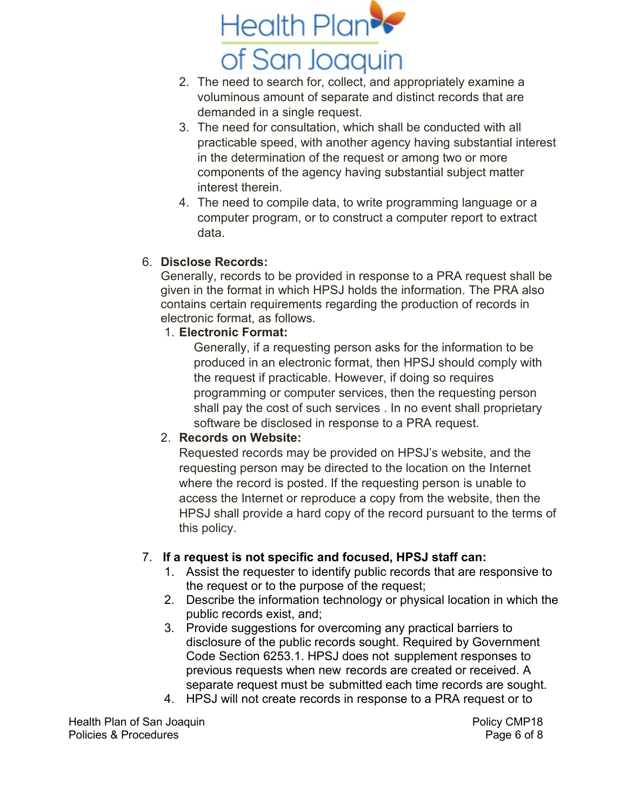

- 2. The need to search for, collect, and appropriately examine a voluminous amount of separate and distinct records that are demanded in a single request.
- 3. The need for consultation, which shall be conducted with all practicable speed, with another agency having substantial interest in the determination of the request or among two or more components of the agency having substantial subject matter interest therein.
- 4. The need to compile data, to write programming language or a computer program, or to construct a computer report to extract data.

# 6. **Disclose Records:**

Generally, records to be provided in response to a PRA request shall be given in the format in which HPSJ holds the information. The PRA also contains certain requirements regarding the production of records in electronic format, as follows.

1. **Electronic Format:**

Generally, if a requesting person asks for the information to be produced in an electronic format, then HPSJ should comply with the request if practicable. However, if doing so requires programming or computer services, then the requesting person shall pay the cost of such services . In no event shall proprietary software be disclosed in response to a PRA request.

# 2. **Records on Website:**

Requested records may be provided on HPSJ's website, and the requesting person may be directed to the location on the Internet where the record is posted. If the requesting person is unable to access the Internet or reproduce a copy from the website, then the HPSJ shall provide a hard copy of the record pursuant to the terms of this policy.

# 7. **If a request is not specific and focused, HPSJ staff can:**

- 1. Assist the requester to identify public records that are responsive to the request or to the purpose of the request;
- 2. Describe the information technology or physical location in which the public records exist, and;
- 3. Provide suggestions for overcoming any practical barriers to disclosure of the public records sought. Required by Government Code Section 6253.1. HPSJ does not supplement responses to previous requests when new records are created or received. A separate request must be submitted each time records are sought.
- 4. HPSJ will not create records in response to a PRA request or to

Health Plan of San Joaquin **Policy CMP18** Policies & Procedures **Page 6 of 8**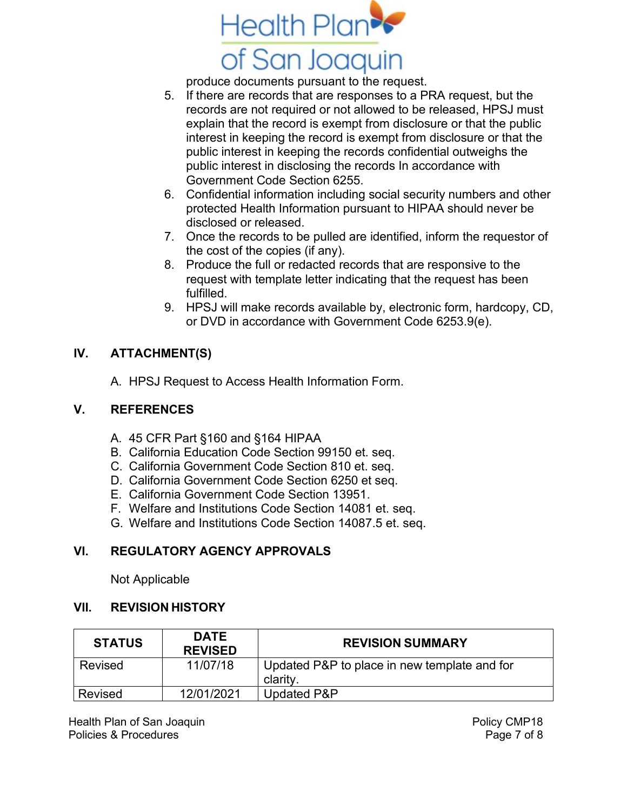

produce documents pursuant to the request.

- 5. If there are records that are responses to a PRA request, but the records are not required or not allowed to be released, HPSJ must explain that the record is exempt from disclosure or that the public interest in keeping the record is exempt from disclosure or that the public interest in keeping the records confidential outweighs the public interest in disclosing the records In accordance with Government Code Section 6255.
- 6. Confidential information including social security numbers and other protected Health Information pursuant to HIPAA should never be disclosed or released.
- 7. Once the records to be pulled are identified, inform the requestor of the cost of the copies (if any).
- 8. Produce the full or redacted records that are responsive to the request with template letter indicating that the request has been fulfilled.
- 9. HPSJ will make records available by, electronic form, hardcopy, CD, or DVD in accordance with Government Code 6253.9(e).

# **IV. ATTACHMENT(S)**

A. HPSJ Request to Access Health Information Form.

## **V. REFERENCES**

- A. 45 CFR Part §160 and §164 HIPAA
- B. California Education Code Section 99150 et. seq.
- C. California Government Code Section 810 et. seq.
- D. California Government Code Section 6250 et seq.
- E. California Government Code Section 13951.
- F. Welfare and Institutions Code Section 14081 et. seq.
- G. Welfare and Institutions Code Section 14087.5 et. seq.

# **VI. REGULATORY AGENCY APPROVALS**

Not Applicable

# **VII. REVISION HISTORY**

| <b>STATUS</b> | <b>DATE</b><br><b>REVISED</b> | <b>REVISION SUMMARY</b>                                  |
|---------------|-------------------------------|----------------------------------------------------------|
| Revised       | 11/07/18                      | Updated P&P to place in new template and for<br>clarity. |
| Revised       | 12/01/2021                    | Updated P&P                                              |

Health Plan of San Joaquin **Policy CMP18** Policies & Procedures **Page 7 of 8**